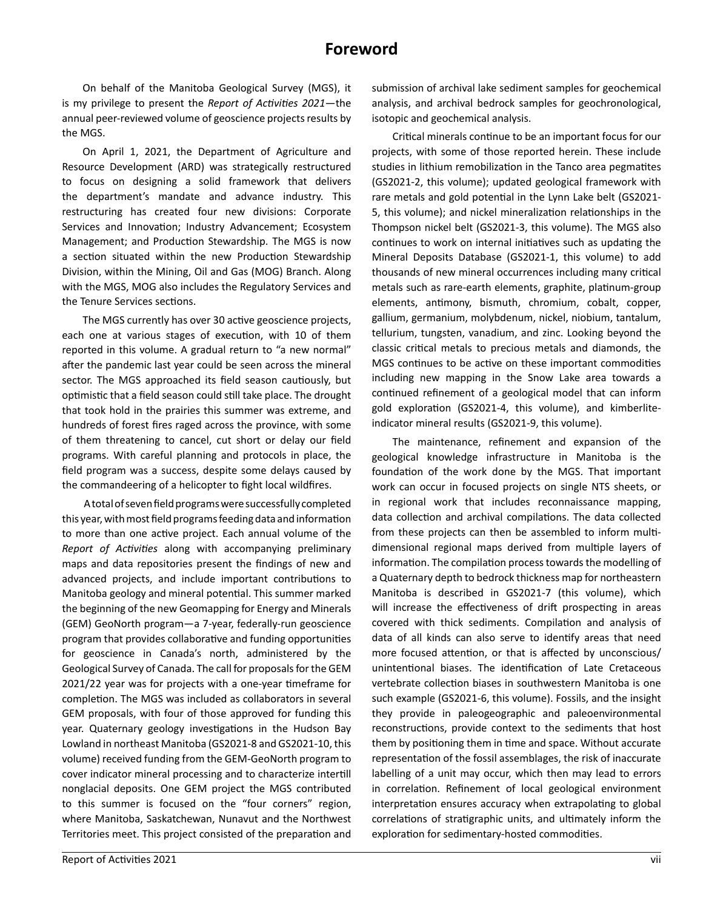## **Foreword**

On behalf of the Manitoba Geological Survey (MGS), it is my privilege to present the *Report of Activities 2021*—the annual peer-reviewed volume of geoscience projects results by the MGS.

On April 1, 2021, the Department of Agriculture and Resource Development (ARD) was strategically restructured to focus on designing a solid framework that delivers the department's mandate and advance industry. This restructuring has created four new divisions: Corporate Services and Innovation; Industry Advancement; Ecosystem Management; and Production Stewardship. The MGS is now a section situated within the new Production Stewardship Division, within the Mining, Oil and Gas (MOG) Branch. Along with the MGS, MOG also includes the Regulatory Services and the Tenure Services sections.

The MGS currently has over 30 active geoscience projects, each one at various stages of execution, with 10 of them reported in this volume. A gradual return to "a new normal" after the pandemic last year could be seen across the mineral sector. The MGS approached its field season cautiously, but optimistic that a field season could still take place. The drought that took hold in the prairies this summer was extreme, and hundreds of forest fires raged across the province, with some of them threatening to cancel, cut short or delay our field programs. With careful planning and protocols in place, the field program was a success, despite some delays caused by the commandeering of a helicopter to fight local wildfires.

 A total of seven field programs were successfully completed this year, with most field programs feeding data and information to more than one active project. Each annual volume of the *Report of Activities* along with accompanying preliminary maps and data repositories present the findings of new and advanced projects, and include important contributions to Manitoba geology and mineral potential. This summer marked the beginning of the new Geomapping for Energy and Minerals (GEM) GeoNorth program—a 7-year, federally-run geoscience program that provides collaborative and funding opportunities for geoscience in Canada's north, administered by the Geological Survey of Canada. The call for proposals for the GEM 2021/22 year was for projects with a one-year timeframe for completion. The MGS was included as collaborators in several GEM proposals, with four of those approved for funding this year. Quaternary geology investigations in the Hudson Bay Lowland in northeast Manitoba (GS2021-8 and GS2021-10, this volume) received funding from the GEM-GeoNorth program to cover indicator mineral processing and to characterize intertill nonglacial deposits. One GEM project the MGS contributed to this summer is focused on the "four corners" region, where Manitoba, Saskatchewan, Nunavut and the Northwest Territories meet. This project consisted of the preparation and

submission of archival lake sediment samples for geochemical analysis, and archival bedrock samples for geochronological, isotopic and geochemical analysis.

Critical minerals continue to be an important focus for our projects, with some of those reported herein. These include studies in lithium remobilization in the Tanco area pegmatites (GS2021-2, this volume); updated geological framework with rare metals and gold potential in the Lynn Lake belt (GS2021- 5, this volume); and nickel mineralization relationships in the Thompson nickel belt (GS2021-3, this volume). The MGS also continues to work on internal initiatives such as updating the Mineral Deposits Database (GS2021-1, this volume) to add thousands of new mineral occurrences including many critical metals such as rare-earth elements, graphite, platinum-group elements, antimony, bismuth, chromium, cobalt, copper, gallium, germanium, molybdenum, nickel, niobium, tantalum, tellurium, tungsten, vanadium, and zinc. Looking beyond the classic critical metals to precious metals and diamonds, the MGS continues to be active on these important commodities including new mapping in the Snow Lake area towards a continued refinement of a geological model that can inform gold exploration (GS2021-4, this volume), and kimberliteindicator mineral results (GS2021-9, this volume).

The maintenance, refinement and expansion of the geological knowledge infrastructure in Manitoba is the foundation of the work done by the MGS. That important work can occur in focused projects on single NTS sheets, or in regional work that includes reconnaissance mapping, data collection and archival compilations. The data collected from these projects can then be assembled to inform multidimensional regional maps derived from multiple layers of information. The compilation process towards the modelling of a Quaternary depth to bedrock thickness map for northeastern Manitoba is described in GS2021-7 (this volume), which will increase the effectiveness of drift prospecting in areas covered with thick sediments. Compilation and analysis of data of all kinds can also serve to identify areas that need more focused attention, or that is affected by unconscious/ unintentional biases. The identification of Late Cretaceous vertebrate collection biases in southwestern Manitoba is one such example (GS2021-6, this volume). Fossils, and the insight they provide in paleogeographic and paleoenvironmental reconstructions, provide context to the sediments that host them by positioning them in time and space. Without accurate representation of the fossil assemblages, the risk of inaccurate labelling of a unit may occur, which then may lead to errors in correlation. Refinement of local geological environment interpretation ensures accuracy when extrapolating to global correlations of stratigraphic units, and ultimately inform the exploration for sedimentary-hosted commodities.